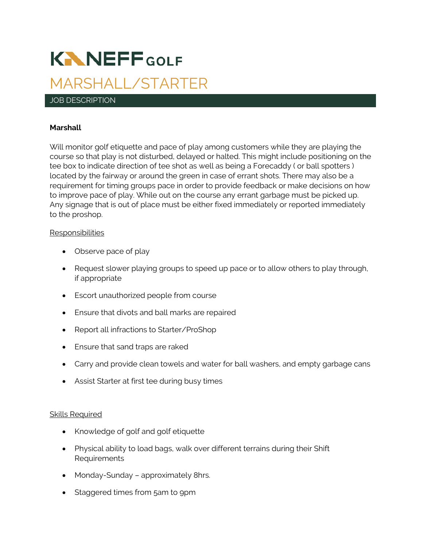# **KNNEFFGOLF** MARSHALL/STARTER

## JOB DESCRIPTION

## **Marshall**

Will monitor golf etiquette and pace of play among customers while they are playing the course so that play is not disturbed, delayed or halted. This might include positioning on the tee box to indicate direction of tee shot as well as being a Forecaddy ( or ball spotters ) located by the fairway or around the green in case of errant shots. There may also be a requirement for timing groups pace in order to provide feedback or make decisions on how to improve pace of play. While out on the course any errant garbage must be picked up. Any signage that is out of place must be either fixed immediately or reported immediately to the proshop.

## Responsibilities

- Observe pace of play
- Request slower playing groups to speed up pace or to allow others to play through, if appropriate
- Escort unauthorized people from course
- Ensure that divots and ball marks are repaired
- Report all infractions to Starter/ProShop
- Ensure that sand traps are raked
- Carry and provide clean towels and water for ball washers, and empty garbage cans
- Assist Starter at first tee during busy times

## Skills Required

- Knowledge of golf and golf etiquette
- Physical ability to load bags, walk over different terrains during their Shift Requirements
- Monday-Sunday approximately 8hrs.
- Staggered times from 5am to 9pm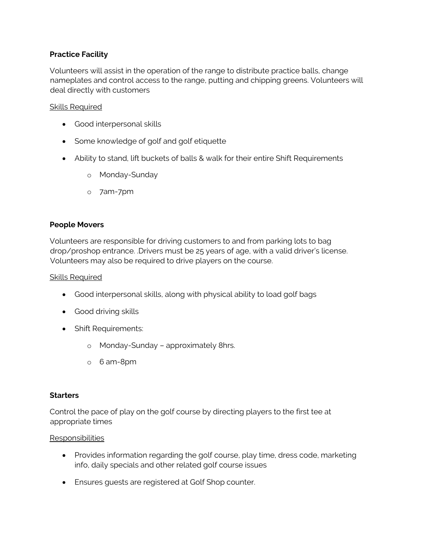# **Practice Facility**

Volunteers will assist in the operation of the range to distribute practice balls, change nameplates and control access to the range, putting and chipping greens. Volunteers will deal directly with customers

## Skills Required

- Good interpersonal skills
- Some knowledge of golf and golf etiquette
- Ability to stand, lift buckets of balls & walk for their entire Shift Requirements
	- o Monday-Sunday
	- o 7am-7pm

# **People Movers**

Volunteers are responsible for driving customers to and from parking lots to bag drop/proshop entrance. .Drivers must be 25 years of age, with a valid driver's license. Volunteers may also be required to drive players on the course.

## Skills Required

- Good interpersonal skills, along with physical ability to load golf bags
- Good driving skills
- Shift Requirements:
	- o Monday-Sunday approximately 8hrs.
	- o 6 am-8pm

## **Starters**

Control the pace of play on the golf course by directing players to the first tee at appropriate times

## Responsibilities

- Provides information regarding the golf course, play time, dress code, marketing info, daily specials and other related golf course issues
- Ensures guests are registered at Golf Shop counter.